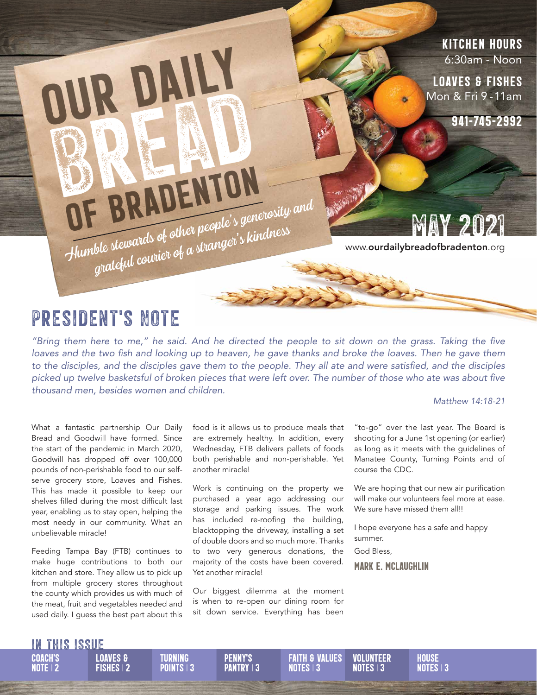### Kitchen Hours 6:30am - Noon

loaves & fishes Mon & Fri 9 - 11am

941-745-2992

OF BRADENTON Humble stewards of other people's generosity and<br>grateful courier of a stranger's kindness

MAY 2021

## President's Note

Our Daily

**BREAD** 

*"Bring them here to me," he said. And he directed the people to sit down on the grass. Taking the five*  loaves and the two fish and looking up to heaven, he gave thanks and broke the loaves. Then he gave them *to the disciples, and the disciples gave them to the people. They all ate and were satisfied, and the disciples picked up twelve basketsful of broken pieces that were left over. The number of those who ate was about five thousand men, besides women and children.*

#### *Matthew 14:18-21*

What a fantastic partnership Our Daily Bread and Goodwill have formed. Since the start of the pandemic in March 2020, Goodwill has dropped off over 100,000 pounds of non-perishable food to our selfserve grocery store, Loaves and Fishes. This has made it possible to keep our shelves filled during the most difficult last year, enabling us to stay open, helping the most needy in our community. What an unbelievable miracle!

Feeding Tampa Bay (FTB) continues to make huge contributions to both our kitchen and store. They allow us to pick up from multiple grocery stores throughout the county which provides us with much of the meat, fruit and vegetables needed and used daily. I guess the best part about this

Fishes <sup>|</sup> 2

food is it allows us to produce meals that are extremely healthy. In addition, every Wednesday, FTB delivers pallets of foods both perishable and non-perishable. Yet another miracle!

Work is continuing on the property we purchased a year ago addressing our storage and parking issues. The work has included re-roofing the building, blacktopping the driveway, installing a set of double doors and so much more. Thanks to two very generous donations, the majority of the costs have been covered. Yet another miracle!

Our biggest dilemma at the moment is when to re-open our dining room for sit down service. Everything has been

"to-go" over the last year. The Board is shooting for a June 1st opening (or earlier) as long as it meets with the guidelines of Manatee County, Turning Points and of course the CDC.

We are hoping that our new air purification will make our volunteers feel more at ease. We sure have missed them all!!

I hope everyone has a safe and happy summer.

God Bless,

Mark E. McLaughlin

#### in this issue Loaves &

**COACH'S** note <sup>|</sup> 2

**VOLUNTEER**  $NOTES$  | 3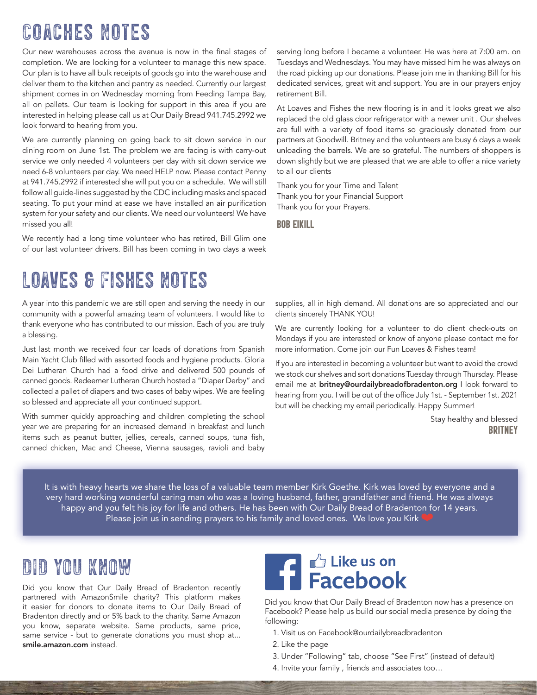# Coaches Notes

Our new warehouses across the avenue is now in the final stages of completion. We are looking for a volunteer to manage this new space. Our plan is to have all bulk receipts of goods go into the warehouse and deliver them to the kitchen and pantry as needed. Currently our largest shipment comes in on Wednesday morning from Feeding Tampa Bay, all on pallets. Our team is looking for support in this area if you are interested in helping please call us at Our Daily Bread 941.745.2992 we look forward to hearing from you.

We are currently planning on going back to sit down service in our dining room on June 1st. The problem we are facing is with carry-out service we only needed 4 volunteers per day with sit down service we need 6-8 volunteers per day. We need HELP now. Please contact Penny at 941.745.2992 if interested she will put you on a schedule. We will still follow all guide-lines suggested by the CDC including masks and spaced seating. To put your mind at ease we have installed an air purification system for your safety and our clients. We need our volunteers! We have missed you all!

We recently had a long time volunteer who has retired, Bill Glim one of our last volunteer drivers. Bill has been coming in two days a week

#### serving long before I became a volunteer. He was here at 7:00 am. on Tuesdays and Wednesdays. You may have missed him he was always on the road picking up our donations. Please join me in thanking Bill for his dedicated services, great wit and support. You are in our prayers enjoy retirement Bill.

At Loaves and Fishes the new flooring is in and it looks great we also replaced the old glass door refrigerator with a newer unit . Our shelves are full with a variety of food items so graciously donated from our partners at Goodwill. Britney and the volunteers are busy 6 days a week unloading the barrels. We are so grateful. The numbers of shoppers is down slightly but we are pleased that we are able to offer a nice variety to all our clients

Thank you for your Time and Talent Thank you for your Financial Support Thank you for your Prayers.

Bob Eikill

# Loaves & Fishes Notes

A year into this pandemic we are still open and serving the needy in our community with a powerful amazing team of volunteers. I would like to thank everyone who has contributed to our mission. Each of you are truly a blessing.

Just last month we received four car loads of donations from Spanish Main Yacht Club filled with assorted foods and hygiene products. Gloria Dei Lutheran Church had a food drive and delivered 500 pounds of canned goods. Redeemer Lutheran Church hosted a "Diaper Derby" and collected a pallet of diapers and two cases of baby wipes. We are feeling so blessed and appreciate all your continued support.

With summer quickly approaching and children completing the school year we are preparing for an increased demand in breakfast and lunch items such as peanut butter, jellies, cereals, canned soups, tuna fish, canned chicken, Mac and Cheese, Vienna sausages, ravioli and baby supplies, all in high demand. All donations are so appreciated and our clients sincerely THANK YOU!

We are currently looking for a volunteer to do client check-outs on Mondays if you are interested or know of anyone please contact me for more information. Come join our Fun Loaves & Fishes team!

If you are interested in becoming a volunteer but want to avoid the crowd we stock our shelves and sort donations Tuesday through Thursday. Please email me at **britney@ourdailybreadofbradenton.org** I look forward to hearing from you. I will be out of the office July 1st. - September 1st. 2021 but will be checking my email periodically. Happy Summer!

> Stay healthy and blessed **BRITNEY**

It is with heavy hearts we share the loss of a valuable team member Kirk Goethe. Kirk was loved by everyone and a very hard working wonderful caring man who was a loving husband, father, grandfather and friend. He was always happy and you felt his joy for life and others. He has been with Our Daily Bread of Bradenton for 14 years. Please join us in sending prayers to his family and loved ones. We love you Kirk

## DID YOU KNOW

Did you know that Our Daily Bread of Bradenton recently partnered with AmazonSmile charity? This platform makes it easier for donors to donate items to Our Daily Bread of Bradenton directly and or 5% back to the charity. Same Amazon you know, separate website. Same products, same price, same service - but to generate donations you must shop at... smile.amazon.com instead.



Did you know that Our Daily Bread of Bradenton now has a presence on Facebook? Please help us build our social media presence by doing the following:

- 1. Visit us on Facebook@ourdailybreadbradenton
- 2. Like the page
- 3. Under "Following" tab, choose "See First" (instead of default)
- 4. Invite your family , friends and associates too…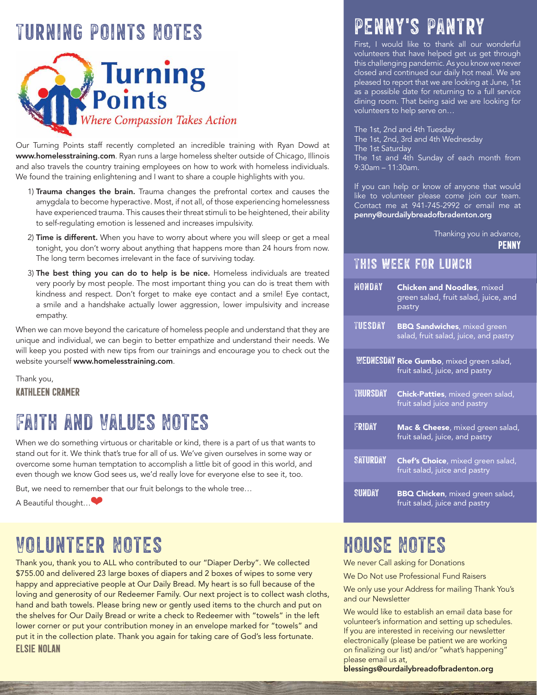# Turning Points Notes



Our Turning Points staff recently completed an incredible training with Ryan Dowd at www.homelesstraining.com. Ryan runs a large homeless shelter outside of Chicago, Illinois and also travels the country training employees on how to work with homeless individuals. We found the training enlightening and I want to share a couple highlights with you.

- 1) Trauma changes the brain. Trauma changes the prefrontal cortex and causes the amygdala to become hyperactive. Most, if not all, of those experiencing homelessness have experienced trauma. This causes their threat stimuli to be heightened, their ability to self-regulating emotion is lessened and increases impulsivity.
- 2) Time is different. When you have to worry about where you will sleep or get a meal tonight, you don't worry about anything that happens more than 24 hours from now. The long term becomes irrelevant in the face of surviving today.
- 3) The best thing you can do to help is be nice. Homeless individuals are treated very poorly by most people. The most important thing you can do is treat them with kindness and respect. Don't forget to make eye contact and a smile! Eye contact, a smile and a handshake actually lower aggression, lower impulsivity and increase empathy.

When we can move beyond the caricature of homeless people and understand that they are unique and individual, we can begin to better empathize and understand their needs. We will keep you posted with new tips from our trainings and encourage you to check out the website yourself www.homelesstraining.com.

Thank you, Kathleen Cramer

# Faith and Values Notes

When we do something virtuous or charitable or kind, there is a part of us that wants to stand out for it. We think that's true for all of us. We've given ourselves in some way or overcome some human temptation to accomplish a little bit of good in this world, and even though we know God sees us, we'd really love for everyone else to see it, too.

But, we need to remember that our fruit belongs to the whole tree…

A Beautiful thought…❤

# Volunteer Notes house Notes

Thank you, thank you to ALL who contributed to our "Diaper Derby". We collected \$755.00 and delivered 23 large boxes of diapers and 2 boxes of wipes to some very happy and appreciative people at Our Daily Bread. My heart is so full because of the loving and generosity of our Redeemer Family. Our next project is to collect wash cloths, hand and bath towels. Please bring new or gently used items to the church and put on the shelves for Our Daily Bread or write a check to Redeemer with "towels" in the left lower corner or put your contribution money in an envelope marked for "towels" and put it in the collection plate. Thank you again for taking care of God's less fortunate. Elsie Nolan

# PENNY'S PAN

First, I would like to thank all our wonderful volunteers that have helped get us get through this challenging pandemic. As you know we never closed and continued our daily hot meal. We are pleased to report that we are looking at June, 1st as a possible date for returning to a full service dining room. That being said we are looking for volunteers to help serve on…

The 1st, 2nd and 4th Tuesday The 1st, 2nd, 3rd and 4th Wednesday The 1st Saturday The 1st and 4th Sunday of each month from 9:30am – 11:30am.

If you can help or know of anyone that would like to volunteer please come join our team. Contact me at 941-745-2992 or email me at penny@ourdailybreadofbradenton.org

Thanking you in advance,

**PENNY** 

## This week for lunch

| MONDAY          | <b>Chicken and Noodles, mixed</b><br>green salad, fruit salad, juice, and<br>pastry |
|-----------------|-------------------------------------------------------------------------------------|
| <b>TUESDAY</b>  | <b>BBQ Sandwiches</b> , mixed green<br>salad, fruit salad, juice, and pastry        |
|                 | WEDNESDAY Rice Gumbo, mixed green salad,<br>fruit salad, juice, and pastry          |
| <b>THURSDAY</b> | <b>Chick-Patties</b> , mixed green salad,<br>fruit salad juice and pastry           |
| FRIDAY          | Mac & Cheese, mixed green salad,<br>fruit salad, juice, and pastry                  |
| <b>SATURDAY</b> | Chef's Choice, mixed green salad,<br>fruit salad, juice and pastry                  |
| SUNDAY          | <b>BBQ Chicken</b> , mixed green salad,<br>fruit salad, juice and pastry            |

We never Call asking for Donations

We Do Not use Professional Fund Raisers

We only use your Address for mailing Thank You's and our Newsletter

We would like to establish an email data base for volunteer's information and setting up schedules. If you are interested in receiving our newsletter electronically (please be patient we are working on finalizing our list) and/or "what's happening" please email us at,

blessings@ourdailybreadofbradenton.org